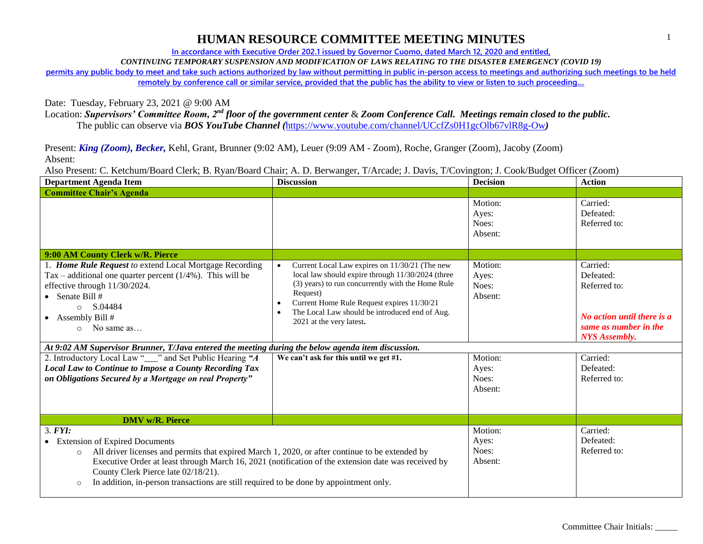**In accordance with Executive Order 202.1 issued by Governor Cuomo, dated March 12, 2020 and entitled,**

*CONTINUING TEMPORARY SUSPENSION AND MODIFICATION OF LAWS RELATING TO THE DISASTER EMERGENCY (COVID 19)*

**permits any public body to meet and take such actions authorized by law without permitting in public in-person access to meetings and authorizing such meetings to be held** 

**remotely by conference call or similar service, provided that the public has the ability to view or listen to such proceeding…**

Date: Tuesday, February 23, 2021 @ 9:00 AM

Location: *Supervisors' Committee Room, 2nd floor of the government center* & *Zoom Conference Call. Meetings remain closed to the public.*

The public can observe via *BOS YouTube Channel (*<https://www.youtube.com/channel/UCcfZs0H1gcOlb67vlR8g-Ow>*)*

Present: *King (Zoom), Becker,* Kehl, Grant, Brunner (9:02 AM), Leuer (9:09 AM - Zoom), Roche, Granger (Zoom), Jacoby (Zoom) Absent:

Also Present: C. Ketchum/Board Clerk; B. Ryan/Board Chair; A. D. Berwanger, T/Arcade; J. Davis, T/Covington; J. Cook/Budget Officer (Zoom)

| <b>Department Agenda Item</b>                                                                                                                                                                                                                                                                                                                                                                                        | <b>Discussion</b>                                                                                                                                                                                                                                                                                | <b>Decision</b>                      | <b>Action</b>                                                                                                        |
|----------------------------------------------------------------------------------------------------------------------------------------------------------------------------------------------------------------------------------------------------------------------------------------------------------------------------------------------------------------------------------------------------------------------|--------------------------------------------------------------------------------------------------------------------------------------------------------------------------------------------------------------------------------------------------------------------------------------------------|--------------------------------------|----------------------------------------------------------------------------------------------------------------------|
| <b>Committee Chair's Agenda</b>                                                                                                                                                                                                                                                                                                                                                                                      |                                                                                                                                                                                                                                                                                                  |                                      |                                                                                                                      |
|                                                                                                                                                                                                                                                                                                                                                                                                                      |                                                                                                                                                                                                                                                                                                  | Motion:<br>Ayes:<br>Noes:<br>Absent: | Carried:<br>Defeated:<br>Referred to:                                                                                |
| 9:00 AM County Clerk w/R. Pierce                                                                                                                                                                                                                                                                                                                                                                                     |                                                                                                                                                                                                                                                                                                  |                                      |                                                                                                                      |
| 1. Home Rule Request to extend Local Mortgage Recording<br>Tax – additional one quarter percent $(1/4%)$ . This will be<br>effective through 11/30/2024.<br>• Senate Bill $#$<br>S.04484<br>$\circ$<br>• Assembly Bill #<br>No same as<br>$\cap$                                                                                                                                                                     | Current Local Law expires on 11/30/21 (The new<br>local law should expire through 11/30/2024 (three<br>(3) years) to run concurrently with the Home Rule<br>Request)<br>Current Home Rule Request expires 11/30/21<br>The Local Law should be introduced end of Aug.<br>2021 at the very latest. | Motion:<br>Ayes:<br>Noes:<br>Absent: | Carried:<br>Defeated:<br>Referred to:<br>No action until there is a<br>same as number in the<br><b>NYS</b> Assembly. |
| At 9:02 AM Supervisor Brunner, T/Java entered the meeting during the below agenda item discussion.                                                                                                                                                                                                                                                                                                                   |                                                                                                                                                                                                                                                                                                  |                                      |                                                                                                                      |
| 2. Introductory Local Law "___" and Set Public Hearing "A<br><b>Local Law to Continue to Impose a County Recording Tax</b><br>on Obligations Secured by a Mortgage on real Property"                                                                                                                                                                                                                                 | We can't ask for this until we get #1.                                                                                                                                                                                                                                                           | Motion:<br>Ayes:<br>Noes:<br>Absent: | Carried:<br>Defeated:<br>Referred to:                                                                                |
| <b>DMV</b> w/R. Pierce                                                                                                                                                                                                                                                                                                                                                                                               |                                                                                                                                                                                                                                                                                                  |                                      |                                                                                                                      |
| 3. <b>FYI</b> :<br>• Extension of Expired Documents<br>All driver licenses and permits that expired March 1, 2020, or after continue to be extended by<br>$\circ$<br>Executive Order at least through March 16, 2021 (notification of the extension date was received by<br>County Clerk Pierce late 02/18/21).<br>In addition, in-person transactions are still required to be done by appointment only.<br>$\circ$ |                                                                                                                                                                                                                                                                                                  | Motion:<br>Ayes:<br>Noes:<br>Absent: | Carried:<br>Defeated:<br>Referred to:                                                                                |

1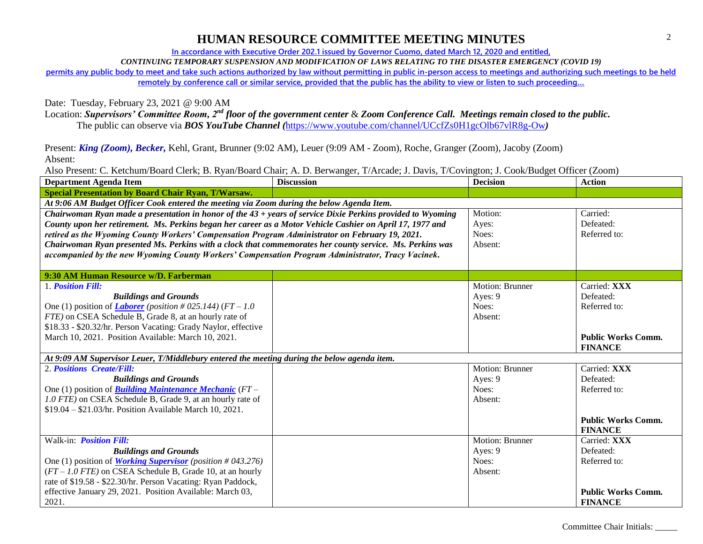**In accordance with Executive Order 202.1 issued by Governor Cuomo, dated March 12, 2020 and entitled,**

*CONTINUING TEMPORARY SUSPENSION AND MODIFICATION OF LAWS RELATING TO THE DISASTER EMERGENCY (COVID 19)*

**permits any public body to meet and take such actions authorized by law without permitting in public in-person access to meetings and authorizing such meetings to be held** 

**remotely by conference call or similar service, provided that the public has the ability to view or listen to such proceeding…**

Date: Tuesday, February 23, 2021 @ 9:00 AM

Location: *Supervisors' Committee Room, 2nd floor of the government center* & *Zoom Conference Call. Meetings remain closed to the public.* The public can observe via *BOS YouTube Channel (*<https://www.youtube.com/channel/UCcfZs0H1gcOlb67vlR8g-Ow>*)*

Present: *King (Zoom), Becker,* Kehl, Grant, Brunner (9:02 AM), Leuer (9:09 AM - Zoom), Roche, Granger (Zoom), Jacoby (Zoom)

Absent:

Also Present: C. Ketchum/Board Clerk; B. Ryan/Board Chair; A. D. Berwanger, T/Arcade; J. Davis, T/Covington; J. Cook/Budget Officer (Zoom)

| <b>Department Agenda Item</b>                                                                               | <b>Discussion</b> | <b>Decision</b>        | <b>Action</b>             |
|-------------------------------------------------------------------------------------------------------------|-------------------|------------------------|---------------------------|
| <b>Special Presentation by Board Chair Ryan, T/Warsaw.</b>                                                  |                   |                        |                           |
| At 9:06 AM Budget Officer Cook entered the meeting via Zoom during the below Agenda Item.                   |                   |                        |                           |
| Chairwoman Ryan made a presentation in honor of the 43 + years of service Dixie Perkins provided to Wyoming |                   | Motion:                | Carried:                  |
| County upon her retirement. Ms. Perkins began her career as a Motor Vehicle Cashier on April 17, 1977 and   |                   | Ayes:                  | Defeated:                 |
| retired as the Wyoming County Workers' Compensation Program Administrator on February 19, 2021.             |                   | Noes:                  | Referred to:              |
| Chairwoman Ryan presented Ms. Perkins with a clock that commemorates her county service. Ms. Perkins was    |                   | Absent:                |                           |
| accompanied by the new Wyoming County Workers' Compensation Program Administrator, Tracy Vacinek.           |                   |                        |                           |
|                                                                                                             |                   |                        |                           |
| 9:30 AM Human Resource w/D. Farberman                                                                       |                   |                        |                           |
| 1. Position Fill:                                                                                           |                   | <b>Motion: Brunner</b> | Carried: XXX              |
| <b>Buildings and Grounds</b>                                                                                |                   | Ayes: 9                | Defeated:                 |
| One (1) position of <i>Laborer</i> ( <i>position</i> #025.144) ( $FT-1.0$                                   |                   | Noes:                  | Referred to:              |
| FTE) on CSEA Schedule B, Grade 8, at an hourly rate of                                                      |                   | Absent:                |                           |
| \$18.33 - \$20.32/hr. Person Vacating: Grady Naylor, effective                                              |                   |                        |                           |
| March 10, 2021. Position Available: March 10, 2021.                                                         |                   |                        | <b>Public Works Comm.</b> |
|                                                                                                             |                   |                        | <b>FINANCE</b>            |
| At 9:09 AM Supervisor Leuer, T/Middlebury entered the meeting during the below agenda item.                 |                   |                        |                           |
| 2. Positions Create/Fill:                                                                                   |                   | Motion: Brunner        | Carried: XXX              |
| <b>Buildings and Grounds</b>                                                                                |                   | Ayes: 9                | Defeated:                 |
| One (1) position of <b>Building Maintenance Mechanic</b> ( $FT-$                                            |                   | Noes:                  | Referred to:              |
| 1.0 FTE) on CSEA Schedule B, Grade 9, at an hourly rate of                                                  |                   | Absent:                |                           |
| $$19.04 - $21.03$ /hr. Position Available March 10, 2021.                                                   |                   |                        |                           |
|                                                                                                             |                   |                        | <b>Public Works Comm.</b> |
|                                                                                                             |                   |                        | <b>FINANCE</b>            |
| Walk-in: Position Fill:                                                                                     |                   | Motion: Brunner        | Carried: XXX              |
| <b>Buildings and Grounds</b>                                                                                |                   | Ayes: 9                | Defeated:                 |
| One (1) position of <i>Working Supervisor</i> ( <i>position</i> #043.276)                                   |                   | Noes:                  | Referred to:              |
| $(FT - 1.0$ FTE) on CSEA Schedule B, Grade 10, at an hourly                                                 |                   | Absent:                |                           |
| rate of \$19.58 - \$22.30/hr. Person Vacating: Ryan Paddock,                                                |                   |                        |                           |
| effective January 29, 2021. Position Available: March 03,                                                   |                   |                        | <b>Public Works Comm.</b> |
| 2021.                                                                                                       |                   |                        | <b>FINANCE</b>            |

Committee Chair Initials: \_\_\_\_\_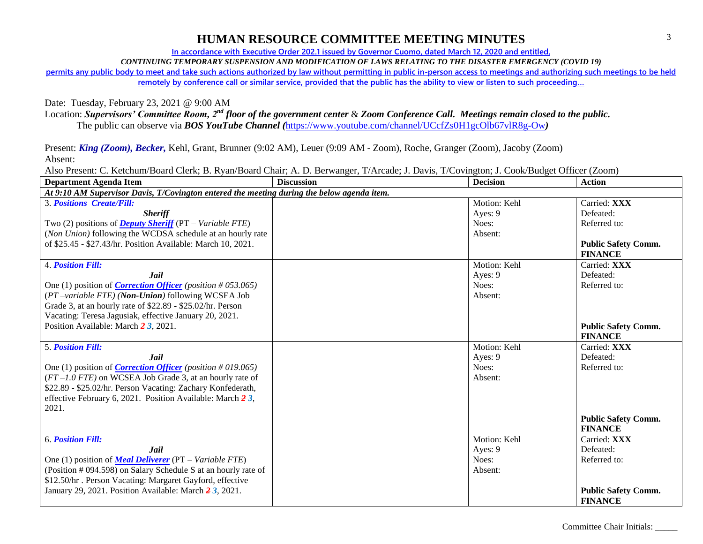**In accordance with Executive Order 202.1 issued by Governor Cuomo, dated March 12, 2020 and entitled,**

*CONTINUING TEMPORARY SUSPENSION AND MODIFICATION OF LAWS RELATING TO THE DISASTER EMERGENCY (COVID 19)*

**permits any public body to meet and take such actions authorized by law without permitting in public in-person access to meetings and authorizing such meetings to be held** 

**remotely by conference call or similar service, provided that the public has the ability to view or listen to such proceeding…**

Date: Tuesday, February 23, 2021 @ 9:00 AM

Location: *Supervisors' Committee Room, 2nd floor of the government center* & *Zoom Conference Call. Meetings remain closed to the public.*

The public can observe via *BOS YouTube Channel (*<https://www.youtube.com/channel/UCcfZs0H1gcOlb67vlR8g-Ow>*)*

Present: *King (Zoom), Becker,* Kehl, Grant, Brunner (9:02 AM), Leuer (9:09 AM - Zoom), Roche, Granger (Zoom), Jacoby (Zoom) Absent:

Also Present: C. Ketchum/Board Clerk; B. Ryan/Board Chair; A. D. Berwanger, T/Arcade; J. Davis, T/Covington; J. Cook/Budget Officer (Zoom)

| <b>Department Agenda Item</b>                                             | <b>Discussion</b>                                                                          | <b>Decision</b> | <b>Action</b>              |  |  |  |
|---------------------------------------------------------------------------|--------------------------------------------------------------------------------------------|-----------------|----------------------------|--|--|--|
|                                                                           | At 9:10 AM Supervisor Davis, T/Covington entered the meeting during the below agenda item. |                 |                            |  |  |  |
| <b>3. Positions Create/Fill:</b>                                          |                                                                                            | Motion: Kehl    | Carried: XXX               |  |  |  |
| <b>Sheriff</b>                                                            |                                                                                            | Ayes: 9         | Defeated:                  |  |  |  |
| Two (2) positions of <b>Deputy Sheriff</b> ( $PT - Variable$ FTE)         |                                                                                            | Noes:           | Referred to:               |  |  |  |
| (Non Union) following the WCDSA schedule at an hourly rate                |                                                                                            | Absent:         |                            |  |  |  |
| of \$25.45 - \$27.43/hr. Position Available: March 10, 2021.              |                                                                                            |                 | <b>Public Safety Comm.</b> |  |  |  |
|                                                                           |                                                                                            |                 | <b>FINANCE</b>             |  |  |  |
| <b>4. Position Fill:</b>                                                  |                                                                                            | Motion: Kehl    | Carried: XXX               |  |  |  |
| <b>Jail</b>                                                               |                                                                                            | Ayes: 9         | Defeated:                  |  |  |  |
| One (1) position of <i>Correction Officer</i> ( <i>position</i> #053.065) |                                                                                            | Noes:           | Referred to:               |  |  |  |
| (PT-variable FTE) (Non-Union) following WCSEA Job                         |                                                                                            | Absent:         |                            |  |  |  |
| Grade 3, at an hourly rate of \$22.89 - \$25.02/hr. Person                |                                                                                            |                 |                            |  |  |  |
| Vacating: Teresa Jagusiak, effective January 20, 2021.                    |                                                                                            |                 |                            |  |  |  |
| Position Available: March 23, 2021.                                       |                                                                                            |                 | <b>Public Safety Comm.</b> |  |  |  |
|                                                                           |                                                                                            |                 | <b>FINANCE</b>             |  |  |  |
| <b>5. Position Fill:</b>                                                  |                                                                                            | Motion: Kehl    | Carried: XXX               |  |  |  |
| <b>Jail</b>                                                               |                                                                                            | Ayes: 9         | Defeated:                  |  |  |  |
| One (1) position of <i>Correction Officer</i> ( <i>position</i> #019.065) |                                                                                            | Noes:           | Referred to:               |  |  |  |
| $(FT-1.0$ FTE) on WCSEA Job Grade 3, at an hourly rate of                 |                                                                                            | Absent:         |                            |  |  |  |
| \$22.89 - \$25.02/hr. Person Vacating: Zachary Konfederath,               |                                                                                            |                 |                            |  |  |  |
| effective February 6, 2021. Position Available: March $\frac{2}{3}$ ,     |                                                                                            |                 |                            |  |  |  |
| 2021.                                                                     |                                                                                            |                 |                            |  |  |  |
|                                                                           |                                                                                            |                 | <b>Public Safety Comm.</b> |  |  |  |
|                                                                           |                                                                                            |                 | <b>FINANCE</b>             |  |  |  |
| <b>6. Position Fill:</b>                                                  |                                                                                            | Motion: Kehl    | Carried: XXX               |  |  |  |
| Jail                                                                      |                                                                                            | Ayes: 9         | Defeated:                  |  |  |  |
| One (1) position of <b>Meal Deliverer</b> (PT – Variable FTE)             |                                                                                            | Noes:           | Referred to:               |  |  |  |
| (Position # 094.598) on Salary Schedule S at an hourly rate of            |                                                                                            | Absent:         |                            |  |  |  |
| \$12.50/hr. Person Vacating: Margaret Gayford, effective                  |                                                                                            |                 |                            |  |  |  |
| January 29, 2021. Position Available: March 2 3, 2021.                    |                                                                                            |                 | <b>Public Safety Comm.</b> |  |  |  |
|                                                                           |                                                                                            |                 | <b>FINANCE</b>             |  |  |  |

Committee Chair Initials: \_\_\_\_\_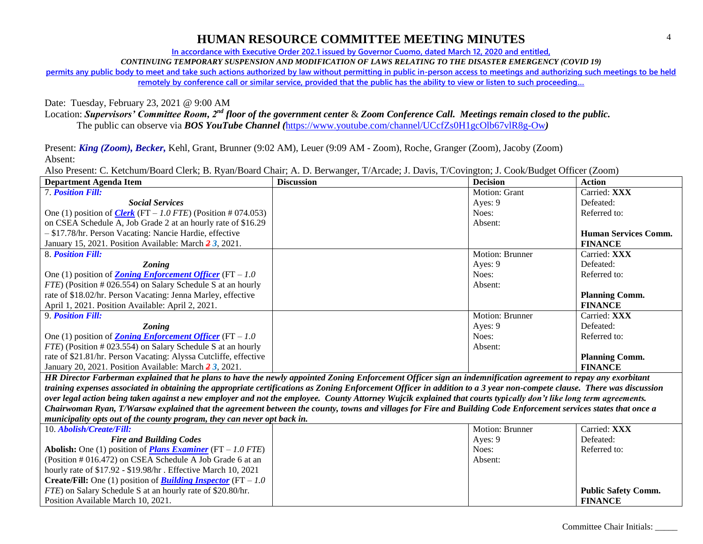**In accordance with Executive Order 202.1 issued by Governor Cuomo, dated March 12, 2020 and entitled,**

*CONTINUING TEMPORARY SUSPENSION AND MODIFICATION OF LAWS RELATING TO THE DISASTER EMERGENCY (COVID 19)*

**permits any public body to meet and take such actions authorized by law without permitting in public in-person access to meetings and authorizing such meetings to be held** 

**remotely by conference call or similar service, provided that the public has the ability to view or listen to such proceeding…**

Date: Tuesday, February 23, 2021 @ 9:00 AM

Location: *Supervisors' Committee Room, 2nd floor of the government center* & *Zoom Conference Call. Meetings remain closed to the public.*

The public can observe via *BOS YouTube Channel (*<https://www.youtube.com/channel/UCcfZs0H1gcOlb67vlR8g-Ow>*)*

Present: *King (Zoom), Becker,* Kehl, Grant, Brunner (9:02 AM), Leuer (9:09 AM - Zoom), Roche, Granger (Zoom), Jacoby (Zoom) Absent:

Also Present: C. Ketchum/Board Clerk; B. Ryan/Board Chair; A. D. Berwanger, T/Arcade; J. Davis, T/Covington; J. Cook/Budget Officer (Zoom)

| <b>Department Agenda Item</b>                                        | <b>Discussion</b> | <b>Decision</b>        | <b>Action</b>               |
|----------------------------------------------------------------------|-------------------|------------------------|-----------------------------|
| <b>7. Position Fill:</b>                                             |                   | Motion: Grant          | Carried: XXX                |
| <b>Social Services</b>                                               |                   | Ayes: $9$              | Defeated:                   |
| One (1) position of <i>Clerk</i> (FT – 1.0 FTE) (Position # 074.053) |                   | Noes:                  | Referred to:                |
| on CSEA Schedule A, Job Grade 2 at an hourly rate of \$16.29         |                   | Absent:                |                             |
| $-$ \$17.78/hr. Person Vacating: Nancie Hardie, effective            |                   |                        | <b>Human Services Comm.</b> |
| January 15, 2021. Position Available: March 23, 2021.                |                   |                        | <b>FINANCE</b>              |
| 8. Position Fill:                                                    |                   | Motion: Brunner        | Carried: XXX                |
| <b>Zoning</b>                                                        |                   | Ayes: 9                | Defeated:                   |
| One (1) position of <b>Zoning Enforcement Officer</b> (FT $-1.0$     |                   | Noes:                  | Referred to:                |
| <i>FTE</i> ) (Position # 026.554) on Salary Schedule S at an hourly  |                   | Absent:                |                             |
| rate of \$18.02/hr. Person Vacating: Jenna Marley, effective         |                   |                        | <b>Planning Comm.</b>       |
| April 1, 2021. Position Available: April 2, 2021.                    |                   |                        | <b>FINANCE</b>              |
| 9. Position Fill:                                                    |                   | <b>Motion: Brunner</b> | Carried: XXX                |
| <b>Zoning</b>                                                        |                   | Ayes: 9                | Defeated:                   |
| One (1) position of <b>Zoning Enforcement Officer</b> (FT $-1.0$ )   |                   | Noes:                  | Referred to:                |
| FTE) (Position # 023.554) on Salary Schedule S at an hourly          |                   | Absent:                |                             |
| rate of \$21.81/hr. Person Vacating: Alyssa Cutcliffe, effective     |                   |                        | <b>Planning Comm.</b>       |
| January 20, 2021. Position Available: March $\frac{2}{3}$ , 2021.    |                   |                        | <b>FINANCE</b>              |

*HR Director Farberman explained that he plans to have the newly appointed Zoning Enforcement Officer sign an indemnification agreement to repay any exorbitant training expenses associated in obtaining the appropriate certifications as Zoning Enforcement Officer in addition to a 3 year non-compete clause. There was discussion over legal action being taken against a new employer and not the employee. County Attorney Wujcik explained that courts typically don't like long term agreements. Chairwoman Ryan, T/Warsaw explained that the agreement between the county, towns and villages for Fire and Building Code Enforcement services states that once a municipality opts out of the county program, they can never opt back in.*

| 10. Abolish/Create/Fill:                                                     | <b>Motion: Brunner</b> | Carried: XXX               |
|------------------------------------------------------------------------------|------------------------|----------------------------|
| <b>Fire and Building Codes</b>                                               | Aves: 9                | Defeated:                  |
| <b>Abolish:</b> One (1) position of <b>Plans Examiner</b> (FT $-1.0$ FTE)    | Noes:                  | Referred to:               |
| $\vert$ (Position # 016.472) on CSEA Schedule A Job Grade 6 at an            | Absent:                |                            |
| hourly rate of $$17.92 - $19.98$ /hr. Effective March 10, 2021               |                        |                            |
| <b>Create/Fill:</b> One (1) position of <b>Building Inspector</b> (FT $-1.0$ |                        |                            |
| <i>FTE</i> ) on Salary Schedule S at an hourly rate of \$20.80/hr.           |                        | <b>Public Safety Comm.</b> |
| Position Available March 10, 2021.                                           |                        | <b>FINANCE</b>             |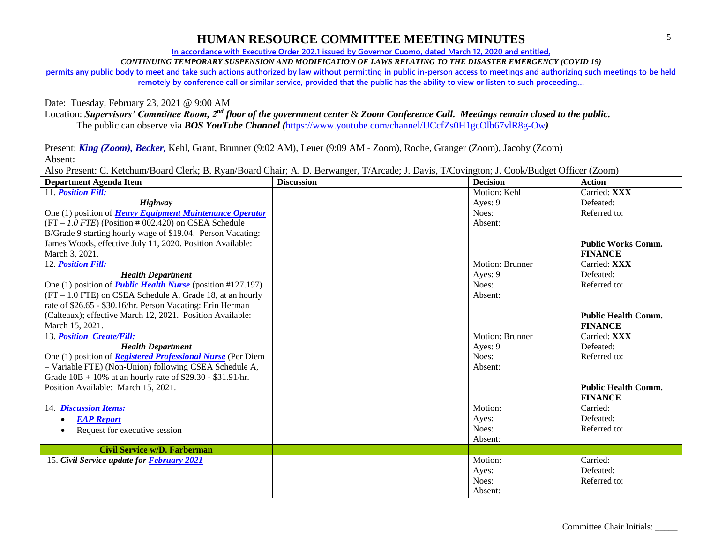**In accordance with Executive Order 202.1 issued by Governor Cuomo, dated March 12, 2020 and entitled,**

*CONTINUING TEMPORARY SUSPENSION AND MODIFICATION OF LAWS RELATING TO THE DISASTER EMERGENCY (COVID 19)*

**permits any public body to meet and take such actions authorized by law without permitting in public in-person access to meetings and authorizing such meetings to be held** 

**remotely by conference call or similar service, provided that the public has the ability to view or listen to such proceeding…**

Date: Tuesday, February 23, 2021 @ 9:00 AM

Location: *Supervisors' Committee Room, 2nd floor of the government center* & *Zoom Conference Call. Meetings remain closed to the public.*

The public can observe via *BOS YouTube Channel (*<https://www.youtube.com/channel/UCcfZs0H1gcOlb67vlR8g-Ow>*)*

Present: *King (Zoom), Becker,* Kehl, Grant, Brunner (9:02 AM), Leuer (9:09 AM - Zoom), Roche, Granger (Zoom), Jacoby (Zoom) Absent:

Also Present: C. Ketchum/Board Clerk; B. Ryan/Board Chair; A. D. Berwanger, T/Arcade; J. Davis, T/Covington; J. Cook/Budget Officer (Zoom)

| <b>Department Agenda Item</b>                                      | <b>Discussion</b> | <b>Decision</b>        | <b>Action</b>              |
|--------------------------------------------------------------------|-------------------|------------------------|----------------------------|
| 11. Position Fill:                                                 |                   | Motion: Kehl           | Carried: XXX               |
| <b>Highway</b>                                                     |                   | Ayes: 9                | Defeated:                  |
| One (1) position of <b>Heavy Equipment Maintenance Operator</b>    |                   | Noes:                  | Referred to:               |
| $(FT - 1.0$ FTE) (Position # 002.420) on CSEA Schedule             |                   | Absent:                |                            |
| B/Grade 9 starting hourly wage of \$19.04. Person Vacating:        |                   |                        |                            |
| James Woods, effective July 11, 2020. Position Available:          |                   |                        | <b>Public Works Comm.</b>  |
| March 3, 2021.                                                     |                   |                        | <b>FINANCE</b>             |
| 12. Position Fill:                                                 |                   | Motion: Brunner        | Carried: XXX               |
| <b>Health Department</b>                                           |                   | Ayes: $9$              | Defeated:                  |
| One (1) position of <i>Public Health Nurse</i> (position #127.197) |                   | Noes:                  | Referred to:               |
| $(FT - 1.0 FTE)$ on CSEA Schedule A, Grade 18, at an hourly        |                   | Absent:                |                            |
| rate of \$26.65 - \$30.16/hr. Person Vacating: Erin Herman         |                   |                        |                            |
| (Calteaux); effective March 12, 2021. Position Available:          |                   |                        | <b>Public Health Comm.</b> |
| March 15, 2021.                                                    |                   |                        | <b>FINANCE</b>             |
| 13. Position Create/Fill:                                          |                   | <b>Motion: Brunner</b> | Carried: XXX               |
| <b>Health Department</b>                                           |                   | Ayes: 9                | Defeated:                  |
| One (1) position of <b>Registered Professional Nurse</b> (Per Diem |                   | Noes:                  | Referred to:               |
| - Variable FTE) (Non-Union) following CSEA Schedule A,             |                   | Absent:                |                            |
| Grade $10B + 10\%$ at an hourly rate of \$29.30 - \$31.91/hr.      |                   |                        |                            |
| Position Available: March 15, 2021.                                |                   |                        | <b>Public Health Comm.</b> |
|                                                                    |                   |                        | <b>FINANCE</b>             |
| 14. Discussion Items:                                              |                   | Motion:                | Carried:                   |
| <b>EAP Report</b>                                                  |                   | Ayes:                  | Defeated:                  |
| Request for executive session                                      |                   | Noes:                  | Referred to:               |
|                                                                    |                   | Absent:                |                            |
| Civil Service w/D. Farberman                                       |                   |                        |                            |
| 15. Civil Service update for <b>February 2021</b>                  |                   | Motion:                | Carried:                   |
|                                                                    |                   | Ayes:                  | Defeated:                  |
|                                                                    |                   | Noes:                  | Referred to:               |
|                                                                    |                   | Absent:                |                            |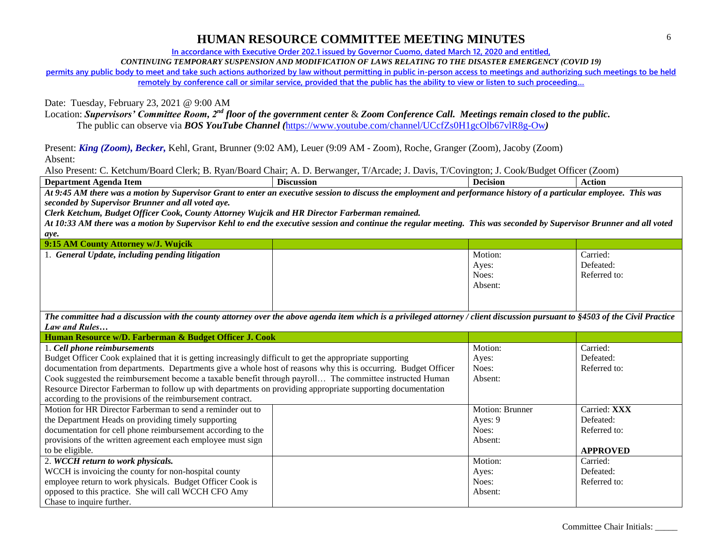**In accordance with Executive Order 202.1 issued by Governor Cuomo, dated March 12, 2020 and entitled,**

*CONTINUING TEMPORARY SUSPENSION AND MODIFICATION OF LAWS RELATING TO THE DISASTER EMERGENCY (COVID 19)*

**permits any public body to meet and take such actions authorized by law without permitting in public in-person access to meetings and authorizing such meetings to be held remotely by conference call or similar service, provided that the public has the ability to view or listen to such proceeding…**

Date: Tuesday, February 23, 2021 @ 9:00 AM

Location: *Supervisors' Committee Room, 2nd floor of the government center* & *Zoom Conference Call. Meetings remain closed to the public.*

The public can observe via *BOS YouTube Channel (*<https://www.youtube.com/channel/UCcfZs0H1gcOlb67vlR8g-Ow>*)*

Present: *King (Zoom), Becker,* Kehl, Grant, Brunner (9:02 AM), Leuer (9:09 AM - Zoom), Roche, Granger (Zoom), Jacoby (Zoom) Absent:

Also Present: C. Ketchum/Board Clerk; B. Ryan/Board Chair; A. D. Berwanger, T/Arcade; J. Davis, T/Covington; J. Cook/Budget Officer (Zoom)

| - Item<br>Department<br>Agend2<br>- | --<br>Discussion | Jecision | ction |
|-------------------------------------|------------------|----------|-------|
|                                     |                  |          |       |

*At 9:45 AM there was a motion by Supervisor Grant to enter an executive session to discuss the employment and performance history of a particular employee. This was seconded by Supervisor Brunner and all voted aye.*

*Clerk Ketchum, Budget Officer Cook, County Attorney Wujcik and HR Director Farberman remained.*

*At 10:33 AM there was a motion by Supervisor Kehl to end the executive session and continue the regular meeting. This was seconded by Supervisor Brunner and all voted aye.*

| 9:15 AM County Attorney w/J. Wujcik                 |         |              |
|-----------------------------------------------------|---------|--------------|
| <b>General Update, including pending litigation</b> | Motion: | Carried:     |
|                                                     | Ayes:   | Defeated:    |
|                                                     | Noes:   | Referred to: |
|                                                     | Absent: |              |
|                                                     |         |              |
|                                                     |         |              |

*The committee had a discussion with the county attorney over the above agenda item which is a privileged attorney / client discussion pursuant to §4503 of the Civil Practice Law and Rules…*

| Human Resource w/D. Farberman & Budget Officer J. Cook                                                         |                        |                 |
|----------------------------------------------------------------------------------------------------------------|------------------------|-----------------|
| 1. Cell phone reimbursements                                                                                   | Motion:                | Carried:        |
| Budget Officer Cook explained that it is getting increasingly difficult to get the appropriate supporting      | Ayes:                  | Defeated:       |
| documentation from departments. Departments give a whole host of reasons why this is occurring. Budget Officer | Noes:                  | Referred to:    |
| Cook suggested the reimbursement become a taxable benefit through payroll The committee instructed Human       | Absent:                |                 |
| Resource Director Farberman to follow up with departments on providing appropriate supporting documentation    |                        |                 |
| according to the provisions of the reimbursement contract.                                                     |                        |                 |
| Motion for HR Director Farberman to send a reminder out to                                                     | <b>Motion: Brunner</b> | Carried: XXX    |
| the Department Heads on providing timely supporting                                                            | Ayes: 9                | Defeated:       |
| documentation for cell phone reimbursement according to the                                                    | Noes:                  | Referred to:    |
| provisions of the written agreement each employee must sign                                                    | Absent:                |                 |
| to be eligible.                                                                                                |                        | <b>APPROVED</b> |
| 2. WCCH return to work physicals.                                                                              | Motion:                | Carried:        |
| WCCH is invoicing the county for non-hospital county                                                           | Ayes:                  | Defeated:       |
| employee return to work physicals. Budget Officer Cook is                                                      | Noes:                  | Referred to:    |
| opposed to this practice. She will call WCCH CFO Amy                                                           | Absent:                |                 |
| Chase to inquire further.                                                                                      |                        |                 |

Committee Chair Initials: \_\_\_\_\_